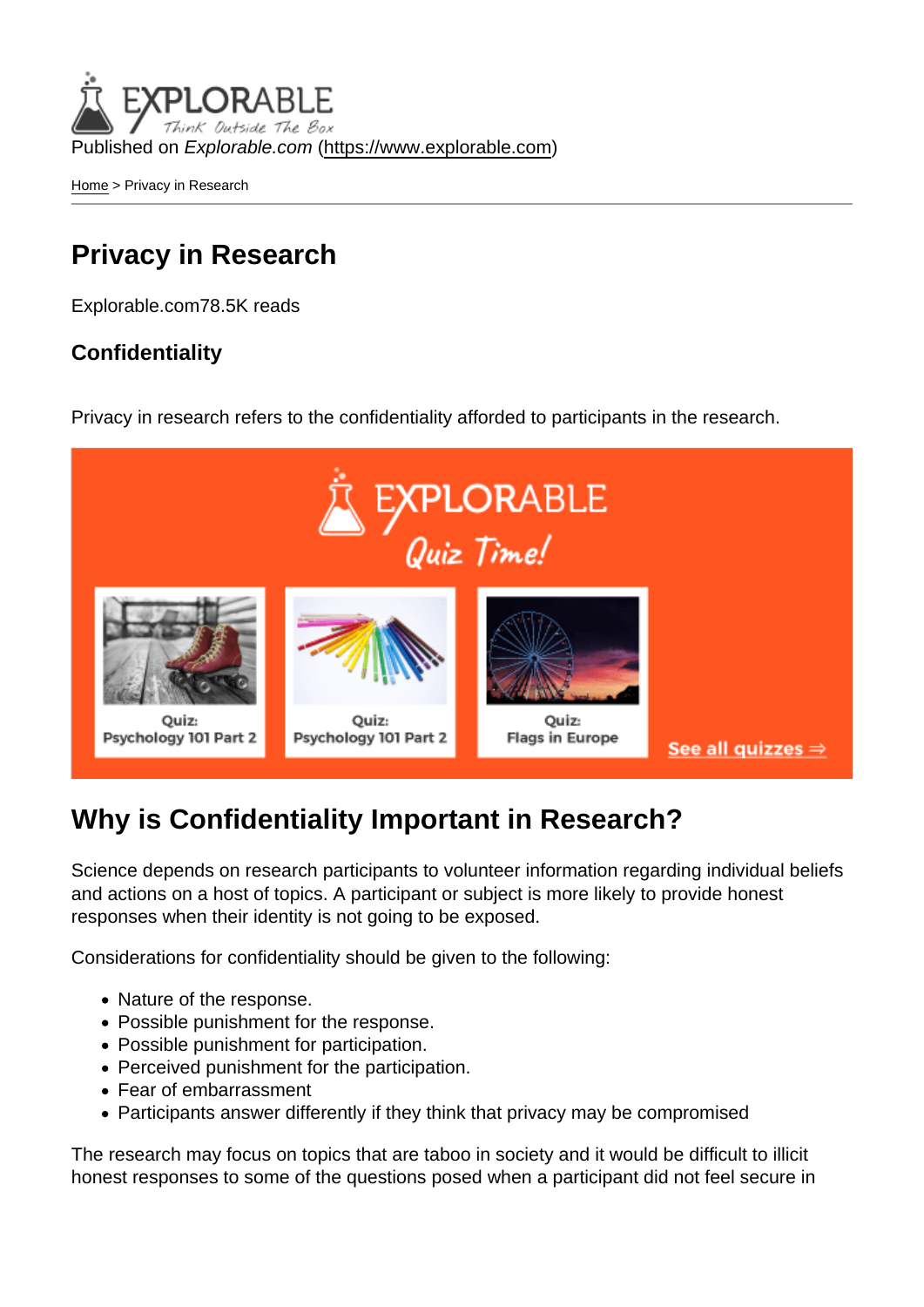Published on Explorable.com (<https://www.explorable.com>)

[Home](https://www.explorable.com/) > Privacy in Research

### Privacy in Research

Explorable.com78.5K reads

**Confidentiality** 

Privacy in research refers to the confidentiality afforded to participants in the research.

## Why is Confidentiality Important in Research?

Science depends on research participants to volunteer information regarding individual beliefs and actions on a host of topics. A participant or subject is more likely to provide honest responses when their identity is not going to be exposed.

Considerations for confidentiality should be given to the following:

- Nature of the response.
- Possible punishment for the response.
- Possible punishment for participation.
- Perceived punishment for the participation.
- Fear of embarrassment
- Participants answer differently if they think that privacy may be compromised

The research may focus on topics that are taboo in society and it would be difficult to illicit honest responses to some of the questions posed when a participant did not feel secure in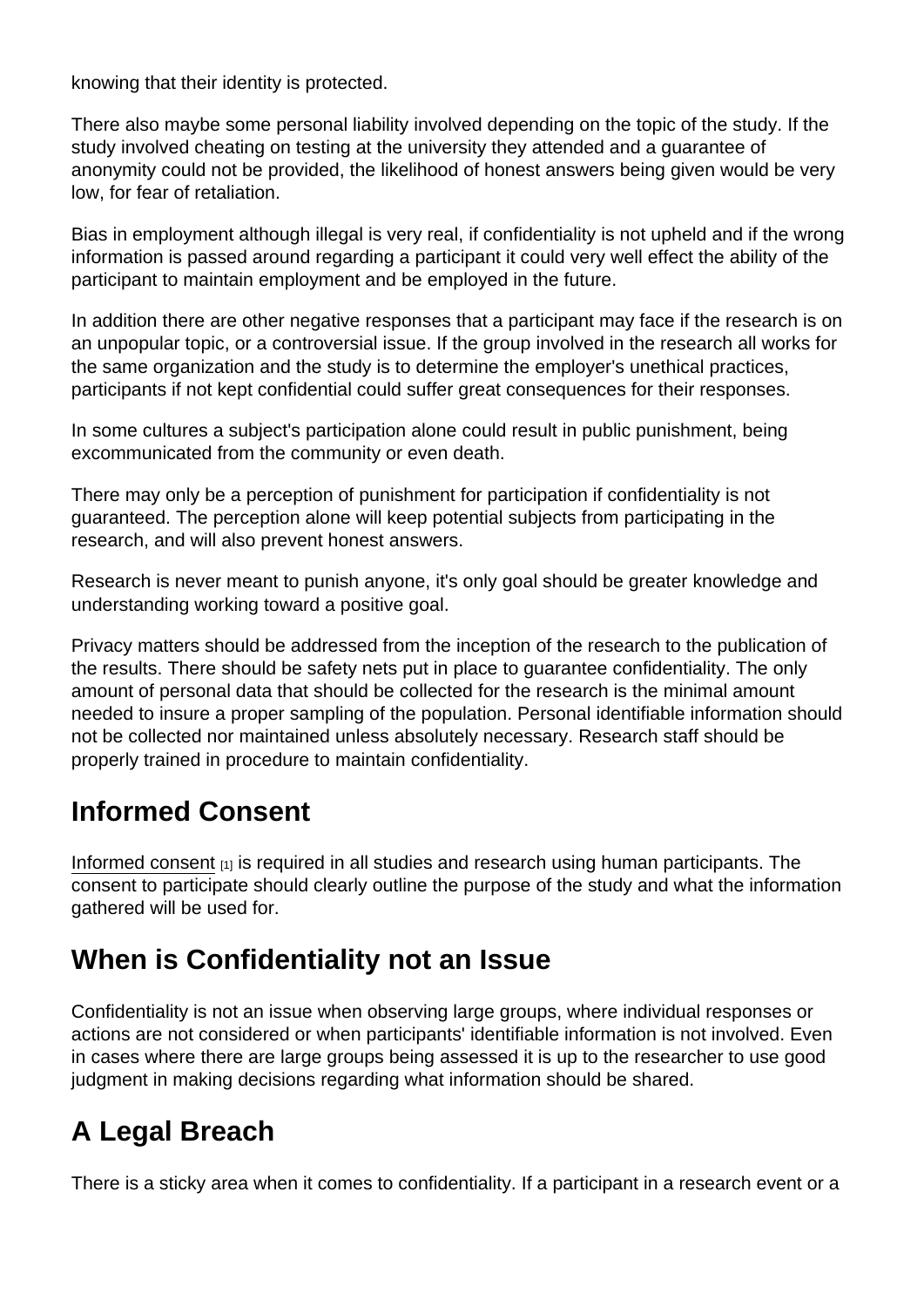knowing that their identity is protected.

There also maybe some personal liability involved depending on the topic of the study. If the study involved cheating on testing at the university they attended and a guarantee of anonymity could not be provided, the likelihood of honest answers being given would be very low, for fear of retaliation.

Bias in employment although illegal is very real, if confidentiality is not upheld and if the wrong information is passed around regarding a participant it could very well effect the ability of the participant to maintain employment and be employed in the future.

In addition there are other negative responses that a participant may face if the research is on an unpopular topic, or a controversial issue. If the group involved in the research all works for the same organization and the study is to determine the employer's unethical practices, participants if not kept confidential could suffer great consequences for their responses.

In some cultures a subject's participation alone could result in public punishment, being excommunicated from the community or even death.

There may only be a perception of punishment for participation if confidentiality is not guaranteed. The perception alone will keep potential subjects from participating in the research, and will also prevent honest answers.

Research is never meant to punish anyone, it's only goal should be greater knowledge and understanding working toward a positive goal.

Privacy matters should be addressed from the inception of the research to the publication of the results. There should be safety nets put in place to guarantee confidentiality. The only amount of personal data that should be collected for the research is the minimal amount needed to insure a proper sampling of the population. Personal identifiable information should not be collected nor maintained unless absolutely necessary. Research staff should be properly trained in procedure to maintain confidentiality.

# Informed Consent

[Informed consent](https://www.explorable.com/informed-consent-policy)  $_{[1]}$  is required in all studies and research using human participants. The consent to participate should clearly outline the purpose of the study and what the information gathered will be used for.

# When is Confidentiality not an Issue

Confidentiality is not an issue when observing large groups, where individual responses or actions are not considered or when participants' identifiable information is not involved. Even in cases where there are large groups being assessed it is up to the researcher to use good judgment in making decisions regarding what information should be shared.

# A Legal Breach

There is a sticky area when it comes to confidentiality. If a participant in a research event or a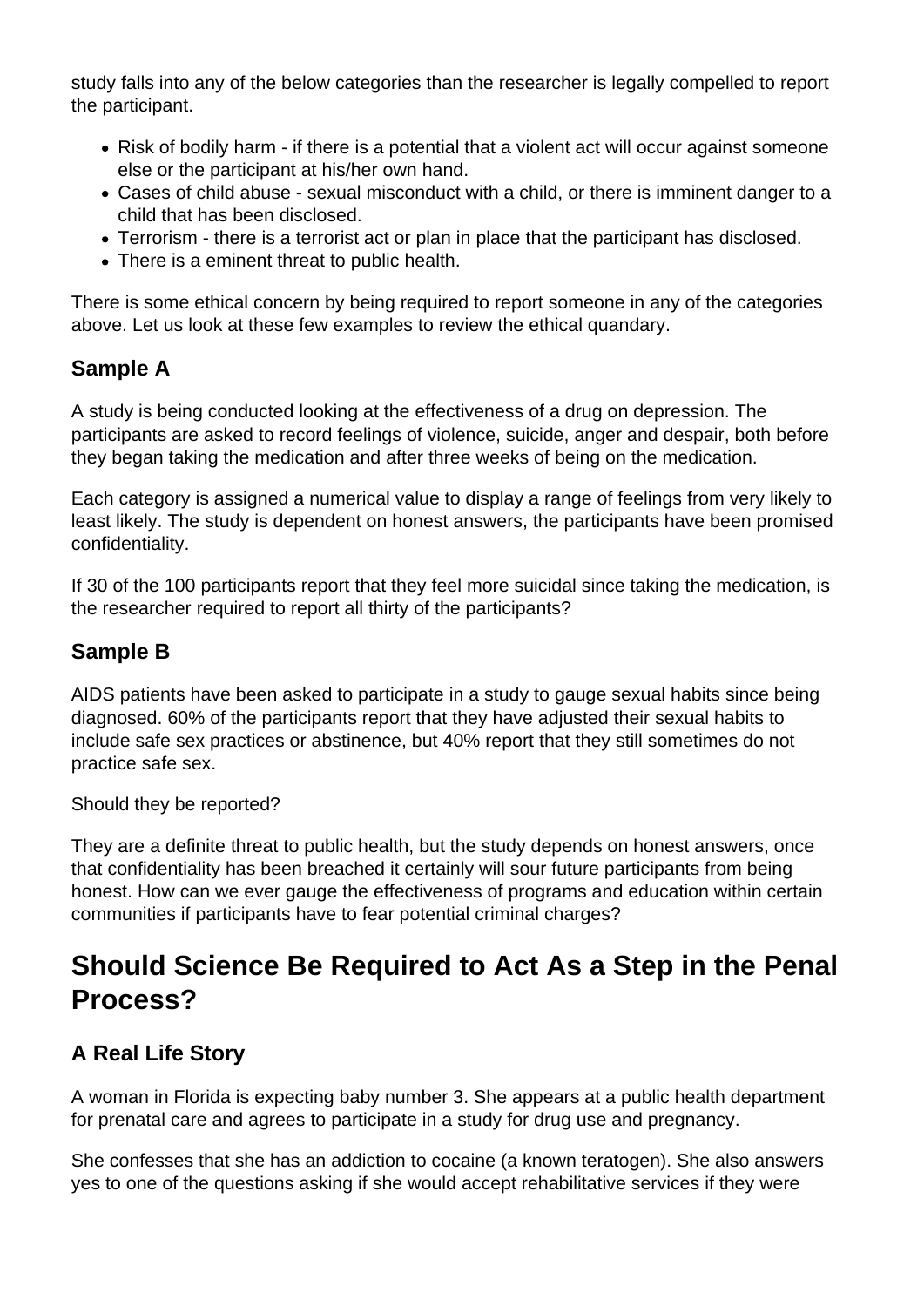study falls into any of the below categories than the researcher is legally compelled to report the participant.

- Risk of bodily harm if there is a potential that a violent act will occur against someone else or the participant at his/her own hand.
- Cases of child abuse sexual misconduct with a child, or there is imminent danger to a child that has been disclosed.
- Terrorism there is a terrorist act or plan in place that the participant has disclosed.
- There is a eminent threat to public health.

There is some ethical concern by being required to report someone in any of the categories above. Let us look at these few examples to review the ethical quandary.

#### **Sample A**

A study is being conducted looking at the effectiveness of a drug on depression. The participants are asked to record feelings of violence, suicide, anger and despair, both before they began taking the medication and after three weeks of being on the medication.

Each category is assigned a numerical value to display a range of feelings from very likely to least likely. The study is dependent on honest answers, the participants have been promised confidentiality.

If 30 of the 100 participants report that they feel more suicidal since taking the medication, is the researcher required to report all thirty of the participants?

#### **Sample B**

AIDS patients have been asked to participate in a study to gauge sexual habits since being diagnosed. 60% of the participants report that they have adjusted their sexual habits to include safe sex practices or abstinence, but 40% report that they still sometimes do not practice safe sex.

Should they be reported?

They are a definite threat to public health, but the study depends on honest answers, once that confidentiality has been breached it certainly will sour future participants from being honest. How can we ever gauge the effectiveness of programs and education within certain communities if participants have to fear potential criminal charges?

# **Should Science Be Required to Act As a Step in the Penal Process?**

### **A Real Life Story**

A woman in Florida is expecting baby number 3. She appears at a public health department for prenatal care and agrees to participate in a study for drug use and pregnancy.

She confesses that she has an addiction to cocaine (a known teratogen). She also answers yes to one of the questions asking if she would accept rehabilitative services if they were